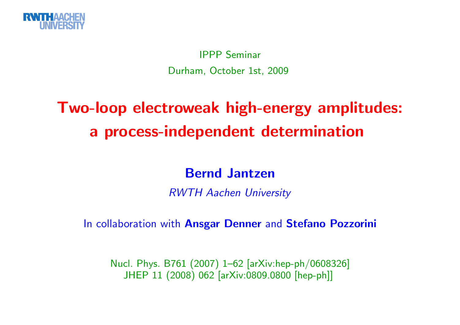

IPPP SeminarDurham, October 1st, <sup>2009</sup>

## Two-loop electroweak high-energy amplitudes: <sup>a</sup> process-independent determination

### Bernd Jantzen

RWTH Aachen University

In collaboration with An<mark>sgar Denner</mark> and Stefano Pozzorini

Nucl. Phys. B761 (2007) 1–62 [arXiv:hep-ph/0608326] JHEP <sup>11</sup> (2008) <sup>062</sup> [arXiv:0809.0800 [hep-ph]]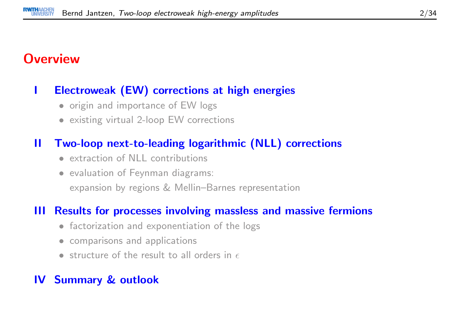## **Overview**

#### <sup>I</sup> Electroweak (EW) corrections at high energies

- origin and importance of EW logs
- existing virtual 2-loop EW corrections

#### II Two-loop next-to-leading logarithmic (NLL) corrections

- extraction of NLL contributions
- evaluation of Feynman diagrams: expansion by regions & Mellin–Barnes representation

#### III Results for processes involving massless and massive fermions

- factorization and exponentiation of the logs
- comparisons and applications
- structure of the result to all orders in  $\epsilon$

#### IV Summary & outlook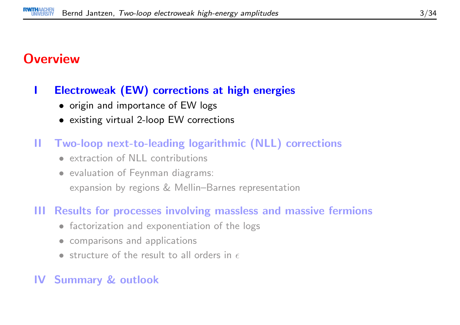### **Overview**

#### <sup>I</sup> Electroweak (EW) corrections at high energies

- origin and importance of EW logs
- existing virtual 2-loop EW corrections
- II Two-loop next-to-leading logarithmic (NLL) corrections
	- extraction of NLL contributions
	- evaluation of Feynman diagrams: expansion by regions & Mellin–Barnes representation

#### III Results for processes involving massless and massive fermions

- factorization and exponentiation of the logs
- comparisons and applications
- structure of the result to all orders in  $\epsilon$

#### IV Summary & outlook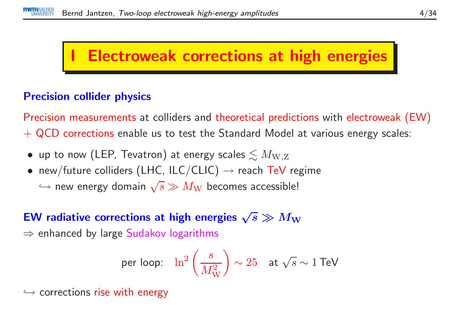## **Electroweak corrections at high energies**

#### Precision collider physics

Precision measurements at colliders and theoretical predictions with electroweak (EW)  $+$  QCD corrections enable us to test the Standard Model at various energy scales:

- $\bullet\,$  up to now (LEP, Tevatron) at energy scales  $\lesssim M_{\rm W,Z}$
- new/future colliders (LHC, ILC/CLIC)  $\rightarrow$  reach TeV regime
	- $\hookrightarrow$  new energy domain  $\sqrt{s} \gg M_{\rm W}$  becomes accessible!

# EW radiative corrections at high energies  $\sqrt{s} \gg M_{\rm W}$   $\rightarrow$  orbanced by large Sudakey logarithms.

 $\Rightarrow$  enhanced by large  $\mathsf{S}$ udakov logarithms

per loop: 
$$
\ln^2 \left( \frac{s}{M_W^2} \right) \sim 25
$$
 at  $\sqrt{s} \sim 1$  TeV

 $\hookrightarrow$  corrections rise with energy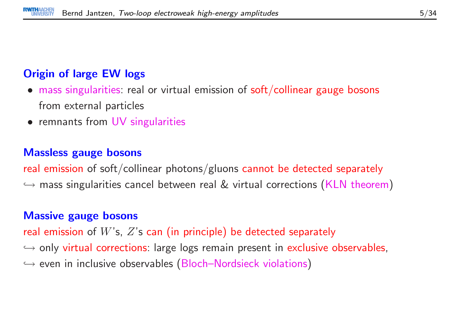#### Origin of large EW logs

- mass singularities: real or virtual emission of soft/collinear gauge bosons from external particles
- remnants from UV singularities

#### Massless gauge bosons

real emission of soft/collinear photons/gluons cannot be detected separately  $\hookrightarrow$  mass singularities cancel between real  $\&$  virtual corrections (KLN theorem)

#### Massive gauge bosons

real emission of  $W$ 's,  $Z$ 's can (in principle) be detected separately  $\hookrightarrow$  only virtual corrections: large logs remain present in exclusive observables,  $\hookrightarrow$  $\hookrightarrow$  even in inclusive observables (Bloch–Nordsieck violations)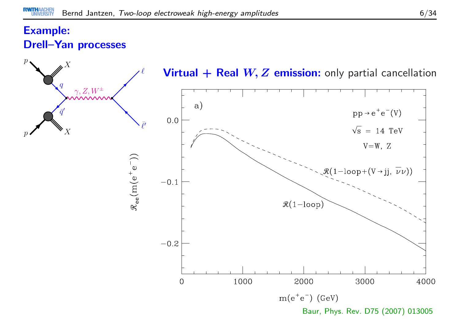#### Example:Drell–Yan processes

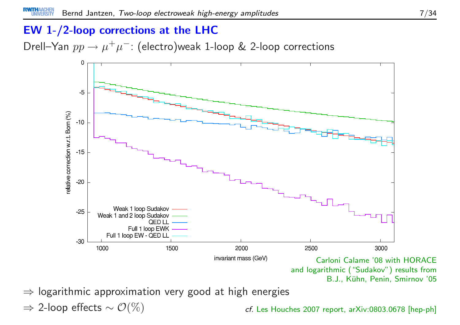#### EW 1-/2-loop corrections at the LHC

Drell—Yan  $pp\to \mu^+\mu^-$ : (electro)weak 1-loop & 2-loop corrections



⇒ logarithmic approximation very good at high energies

 $\Rightarrow$  2-loop effects  $\sim \mathcal{O}(\%)$ 

cf. Les Houches 2007 report, arXiv:0803.0678 [hep-ph]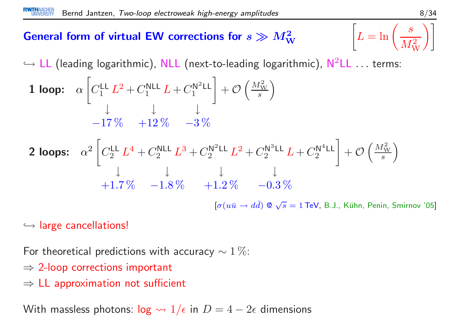# General form of virtual EW corrections for  $s \gg M_\mathrm{W}^2$

$$
\begin{bmatrix} 2 \\ W \end{bmatrix} \left[ L = \ln \left( \frac{s}{M_W^2} \right) \right]
$$

 $\hookrightarrow$  LL (leading logarithmic), NLL (next-to-leading logarithmic),  $\mathsf{N}^2$ LL  $\ldots$  terms:

**1 loop:** 
$$
\alpha \left[ C_1^{\text{LL}} L^2 + C_1^{\text{NLL}} L + C_1^{\text{N}^2 \text{LL}} \right] + \mathcal{O} \left( \frac{M_{\text{W}}^2}{s} \right)
$$
  
-17\% +12\% -3\%

**2 loops:** 
$$
\alpha^2 \left[ C_2^{\text{LL}} L^4 + C_2^{\text{NLL}} L^3 + C_2^{\text{N}^2 \text{LL}} L^2 + C_2^{\text{N}^3 \text{LL}} L + C_2^{\text{N}^4 \text{LL}} \right] + \mathcal{O}\left(\frac{M_{\text{W}}^2}{s}\right)
$$
  
+1.7\%  $-1.8\%$   $+1.2\%$   $-0.3\%$   

$$
\left[ \sigma (u\bar{u} \rightarrow d\bar{d}) \otimes \sqrt{s} = 1 \text{ TeV, B.J., Kühn, Penin, Smirnov '05} \right]
$$

 $\hookrightarrow$  large cancellations!

For theoretical predictions with accuracy  $\sim 1\,\%$ :

- $\Rightarrow$  2-loop corrections important
- $\Rightarrow$  LL approximation not sufficient

With massless photons:  $\log \leadsto 1/\epsilon$  in  $D = 4 - 2\epsilon$  dimensions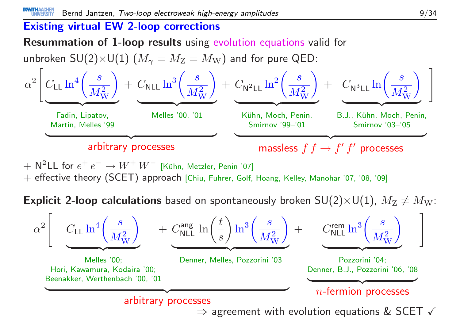#### Existing virtual EW 2-loop corrections

Resummation of 1-loop results using evolution equations valid for

![](_page_8_Figure_3.jpeg)

 $+$  N<sup>2</sup>LL for  $e^+e^- \rightarrow$  $+$   $\mathsf{N}^2\mathsf{LL}$  for  $e^+ \, e^- \to W^+ \, W^-$  [Kühn, Metzler, Penin '07]<br> $+$  effective theory (SCET) approach [Chiu, Fuhrer, Golf, Hoang, Kelley, Manohar '07, '08, '09]

 ${\sf Explicit}$  2-loop calculations based on spontaneously broken  $\mathsf{SU}(2){\times}\mathsf{U}(1)$ ,  $M_\mathrm{Z}\neq M_\mathrm{W}$ :

![](_page_8_Figure_6.jpeg)

 $\Rightarrow$  agreement with evolution equations & SCET  $\checkmark$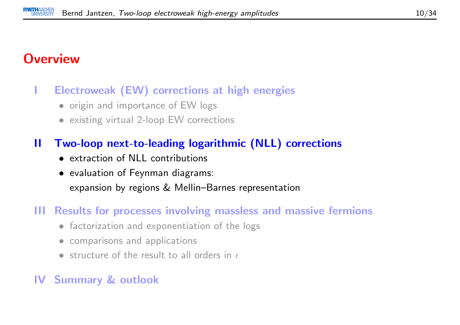## **Overview**

#### <sup>I</sup> Electroweak (EW) corrections at high energies

- origin and importance of EW logs
- existing virtual 2-loop EW corrections

#### II Two-loop next-to-leading logarithmic (NLL) corrections

- extraction of NLL contributions
- evaluation of Feynman diagrams: expansion by regions & Mellin–Barnes representation

#### III Results for processes involving massless and massive fermions

- factorization and exponentiation of the logs
- comparisons and applications
- structure of the result to all orders in  $\epsilon$

#### IV Summary & outlook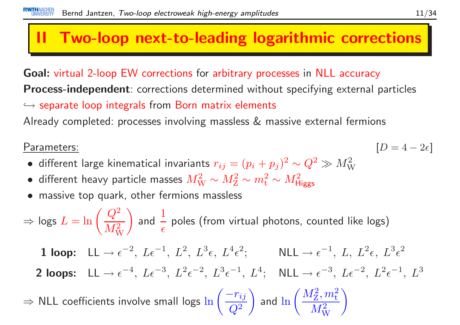## II Two-loop next-to-leading logarithmic corrections

Goal: virtual 2-loop EW corrections for arbitrary processes in NLL accuracy **Process-independent**: corrections determined without specifying external particles  $\hookrightarrow$  separate loop integrals from Born matrix elements<br>Alusedy semplatedy we see so involving massless  $^{\rho}$  me

Already completed: processes involving massless & massive external fermions

#### Parameters:

- $\frac{1}{2}$  [D  $[D = 4 - 2\epsilon]$
- different large kinematical invariants  $r_{ij} = (p_i + p_j)^2 \sim Q^2 \gg M_{\rm W}^2$
- different heavy particle masses  $M_{\rm W}^2 \sim M_{\rm Z}^2 \sim m_{\rm t}^2 \sim M_{\rm Higgs}^2$
- massive top quark, other fermions massless

⇒ $\Rightarrow$  logs  $L = \ln\left(\dfrac{Q^2}{M_\mathrm{W}^2}\right)$  and  $\frac{1}{\epsilon}$  poles (from virtual photons, counted like logs)  $1$  loop:  $LL \rightarrow$  $\rightarrow \epsilon^{-2}, L\epsilon^{-1}, L^2, L^3\epsilon, L^4\epsilon^2; \qquad \text{NLL} \rightarrow \epsilon^{-1}, L, L^2\epsilon, L^3\epsilon^2$ 2 loops:  $LL \rightarrow$  $\rightarrow \epsilon^{-4}, L\epsilon^{-3}, L^2\epsilon^{-2}, L^3\epsilon^{-1}, L^4; \quad \text{NLL} \rightarrow \epsilon^{-3}, L\epsilon^{-2}, L^2\epsilon^{-1}, L^3$ ⇒⇒ NLL coefficients involve small logs  $\ln\left(\dfrac{-r_{ij}}{Q^2}\right)$  and  $\ln\left(\dfrac{M_\mathrm{Z}^2,m_\mathrm{t}^2}{M_\mathrm{W}^2}\right)$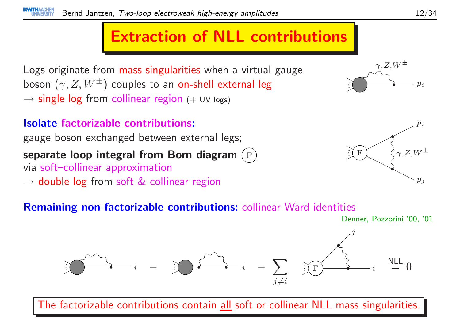## Extraction of NLL contributions

Logs originate from mass singularities when <sup>a</sup> virtual gauge boson  $(\gamma, Z, W^\pm)$  couples to an <mark>on-shell external leg</mark>  $\rightarrow$  single log from collinear region (+ UV logs)

## Isolate factorizable contributions:

gauge boson exchanged between external legs; separate loop integral from Born diagram (F)<br>via soft-collinear approximation via soft–collinear approximation $\rightarrow$  double log from soft  $\&$  collinear region

## $p_{\it i}$  $\stackrel{\gamma,Z,W^\pm}{\curvearrowright}$

![](_page_11_Picture_6.jpeg)

#### Remaining non-factorizable contributions: collinear Ward identities

Denner, Pozzorini '00, '01

![](_page_11_Figure_9.jpeg)

The factorizable contributions contain all soft or collinear NLL mass singularities.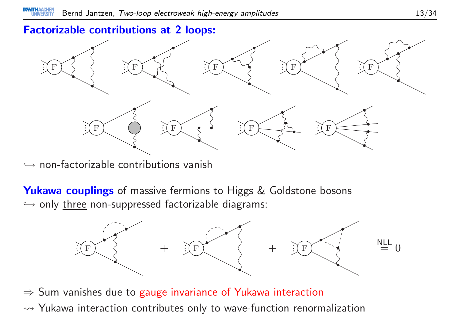#### Factorizable contributions at <sup>2</sup> loops:

![](_page_12_Figure_2.jpeg)

 $\hookrightarrow$  non-factorizable contributions vanish

**Yukawa couplings** of massive fermions to Higgs & Goldstone bosons  $\hookrightarrow$  only <u>three</u> non-suppressed factorizable diagrams:

![](_page_12_Figure_5.jpeg)

⇒ Sum vanishes due to gauge invariance of Yukawa interaction  $\rightarrow$  Yukawa interaction contributes only to wave-function renormalization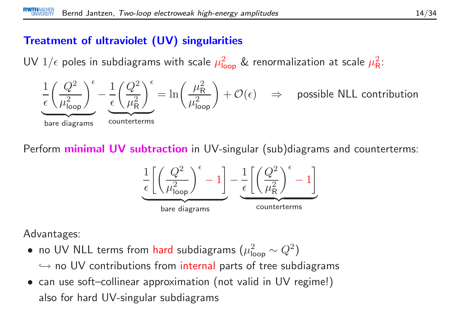#### Treatment of ultraviolet (UV) singularities

UV  $1/\epsilon$  poles in subdiagrams with scale  $\mu_{\mathsf{loop}}^2$  & renormalization at scale  $\mu_{\mathsf{R}}^2$ :

![](_page_13_Figure_3.jpeg)

Perform **minimal UV subtraction** in UV-singular (sub)diagrams and counterterms:

![](_page_13_Figure_5.jpeg)

Advantages:

- no UV NLL terms from hard subdiagrams  $(\mu_{\mathsf{loop}}^2 \sim Q^2)$  $\hookrightarrow$  no UV contributions from internal parts of tree subdiagrams<br>see use of the ellipsex communication (not uslid in UV marineal)
- can use soft–collinear approximation (not valid in UV regime!) also for hard UV-singular subdiagrams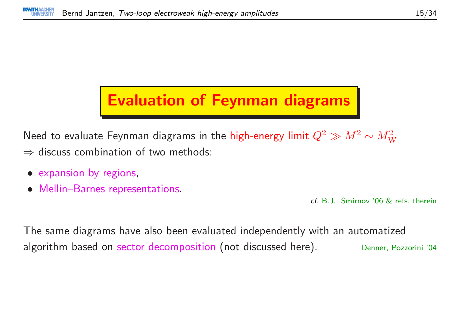## Evaluation of Feynman diagrams

Need to evaluate Feynman diagrams in the high-energy limit  $Q^2 \gg M^2 \sim M_{\rm W}^2$  $\Rightarrow$  discuss combination of two methods:

- expansion by regions,
- $\bullet$ Mellin–Barnes representations.

cf. B.J., Smirnov '06 & refs. therein

The same diagrams have also been evaluated independently with an automatizedalgorithm based on sector decomposition (not discussed here). Denner, Pozzorini '04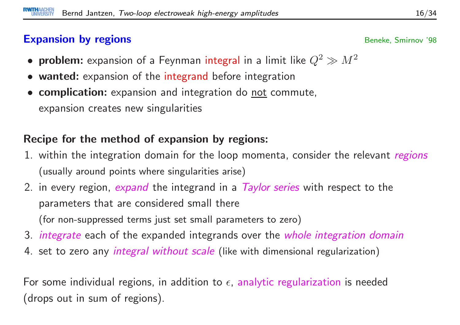#### Expansion by regions

- problem: expansion of a Feynman integral in a limit like  $Q^2 \gg M^2$
- wanted: expansion of the integrand before integration
- **complication:** expansion and integration do <u>not</u> commute, expansion creates new singularities

#### Recipe for the method of expansion by regions:

- 1. within the integration domain for the loop momenta, consider the relevant *regions* (usually around points where singularities arise)
- 2. in every region, *expand* the integrand in a *Taylor series* with respect to the parameters that are considered small there(for non-suppressed terms just set small parameters to zero)
- 3. *integrate* each of the expanded integrands over the *whole integration domain*
- 4. set to zero any *integral without scale* (like with dimensional regularization)

For some individual regions, in addition to  $\epsilon$ , analytic regularization is needed (drops out in sum of regions).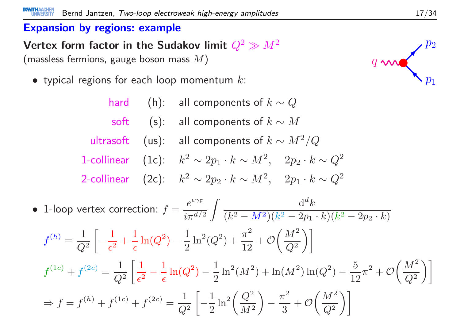#### Expansion by regions: example

Vertex form factor in the Sudakov limit  $Q^2 \gg$ (massless fermions, gauge boson mass  $M)$ ) and the set of  $q$ 

 $\bullet\,$  typical regions for each loop momentum  $k\colon$ 

hard  $\quad$  (h):  $\quad$  all components of  $k \sim Q$ soft  $\quad$  (s): all components of  $k \sim M$ ultrasoft  $\pmb{(}$  us):  $\pmb{\quad \text{all components of} $k \sim M^2/Q$}$ 1-collinear (1c):  $k^2 \sim 2p_1 \cdot k \sim M^2$ ,  $2p_2 \cdot k \sim Q^2$ 2-collinear (2c):  $k^2 \sim 2p_2 \cdot k \sim M^2$ ,  $2p_1 \cdot k \sim Q^2$ • 1-loop vertex correction:  $f = \frac{e^{\epsilon \gamma_{\rm E}}}{i \pi^{d/2}} \int \frac{\mathrm{d}^d k}{(k^2 - M^2)(k^2 - 2p_1)}$  $(M^2 - M^2)(k^2 - 2p_1 \cdot k)(k^2 - 2p_2 \cdot k)$  $f^{(h)}=% {\textstyle\sum\nolimits_{\alpha}} e_{\alpha}/\sqrt{2}g_{\alpha}^{2}$  $=\frac{1}{Q^2}\left[-\frac{1}{\epsilon^2}+\frac{1}{\epsilon}\ln(Q^2)-\frac{1}{2}\ln^2(Q^2)+\frac{\pi^2}{12}+\mathcal{O}\bigg(\frac{M^2}{Q^2}\bigg)\right]$  $f^{(1c)}\ +$  $f^{(2c)} = \frac{1}{Q^2} \left[ \frac{1}{\epsilon^2} - \frac{1}{\epsilon} \ln(Q^2) - \frac{1}{2} \ln^2(M^2) + \ln(M^2) \ln(Q^2) - \frac{5}{12} \pi^2 + \mathcal{O}\left(\frac{M^2}{Q^2}\right) \right]$ ⇒ $\Rightarrow f = f^{(h)} + f^{(1c)} + f^{(2c)} = \frac{1}{Q^2} \left[ -\frac{1}{2} \ln^2 \left( \frac{Q^2}{M^2} \right) - \frac{\pi^2}{3} + \mathcal{O} \left( \frac{M^2}{Q^2} \right) \right]$ 

![](_page_16_Figure_5.jpeg)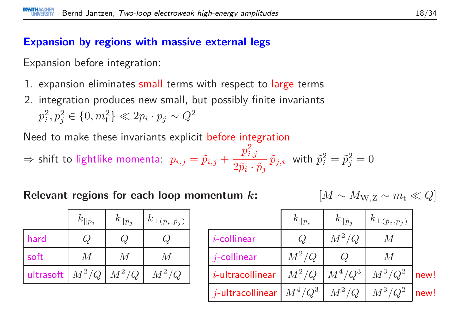#### Expansion by regions with massive external legs

Expansion before integration:

- 1. expansion eliminates <mark>small</mark> terms with respect to <mark>large</mark> terms
- 2. integration produces new small, but possibly finite invariants $p_i^2, p_j^2 \in \{0, m_t^2\} \ll 2p_i \cdot p_j \sim Q^2$

Need to make these invariants explicit before integration

$$
\Rightarrow \text{shift to lightlike momenta: } p_{i,j} = \tilde{p}_{i,j} + \frac{p_{i,j}^2}{2\tilde{p}_i \cdot \tilde{p}_j} \, \tilde{p}_{j,i} \text{ with } \tilde{p}_i^2 = \tilde{p}_j^2 = 0
$$

Relevant regions for each loop momentum  $\bm{k}$ :  $\begin{bmatrix} M \end{bmatrix}$ 

 $M \sim M_{\mathrm{W,Z}} \sim m_{\mathrm{t}} \ll Q$ 

|                   | $k_{\parallel \tilde{p}_i}$ | $k_{\parallel \tilde{p}_j}$ | $k_{\perp (\tilde p_i, \tilde p_j)}$ |
|-------------------|-----------------------------|-----------------------------|--------------------------------------|
| hard              | $\mathcal{Q}$               |                             |                                      |
| soft              |                             | M                           | $\overline{M}$                       |
| ultrasoft $M^2/Q$ |                             | $M^2/Q$                     | $M^2/Q$                              |

|                                                           | $k_{\parallel \tilde{p}_i}$ | $k_{\parallel \tilde{p}_j}$ | $k_{\perp (\tilde p_i, \tilde p_j)}$ |      |
|-----------------------------------------------------------|-----------------------------|-----------------------------|--------------------------------------|------|
| $i$ -collinear                                            |                             | $M^2/Q$                     | $M\,$                                |      |
| $j$ -collinear                                            | $M^2/Q$                     |                             | $\overline{M}$                       |      |
| $i$ -ultracollinear                                       |                             | $M^2/Q$ $M^4/Q^3$ $M^3/Q^2$ |                                      | new! |
| $\mid j$ -ultracollinear $\mid M^4/Q^3 \mid \ M^2/Q \mid$ |                             |                             | $M^3/Q^2$                            | new! |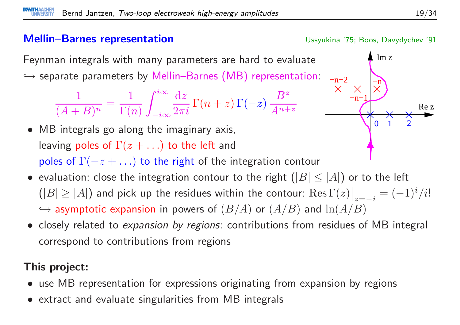#### Mellin–Barnes representation

Ussyukina '75; Boos, Davydychev '91

−n−1

 $-n-2$ 

 $\lim z$ 

−n

 $\Omega$ 

 $0 \t1 \t2$ 

Feynman integrals with many parameters are hard to evaluate $\hookrightarrow$  separate parameters by Mellin–Barnes (MB) representation:<br>.

$$
\frac{1}{(A+B)^n} = \frac{1}{\Gamma(n)} \int_{-i\infty}^{i\infty} \frac{dz}{2\pi i} \Gamma(n+z) \Gamma(-z) \frac{B^z}{A^{n+z}}
$$

- MB integrals go along the imaginary axis, leaving poles of  $\Gamma(z+\ldots)$  to the left and poles of  $\Gamma(-z+\ldots)$  to the right of the integration contour
- evaluation: close the integration contour to the right  $(|B| \leq |A|)$  or to the left  $(|B| \geq |A|)$  and pick up the residues within the contour:  $\text{Res}\,\Gamma(z)\big|_{z=-i} = (-1)^i/i!$  $\hookrightarrow$  asymptotic expansion in powers of  $(B/A)$  or  $(A/B)$  and  $\ln(A/B)$
- closely related to expansion by regions: contributions from residues of MB integral correspond to contributions from regions

### This project:

- use MB representation for expressions originating from expansion by regions
- extract and evaluate singularities from MB integrals

Re z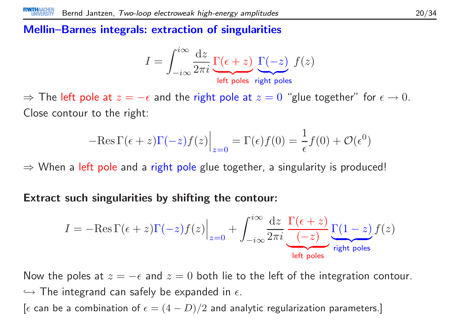#### Mellin–Barnes integrals: extraction of singularities

$$
I = \int_{-i\infty}^{i\infty} \frac{dz}{2\pi i} \underbrace{\Gamma(\epsilon + z)}_{\text{left poles}} \underbrace{\Gamma(-z)}_{\text{right poles}}
$$

 $\Rightarrow$  The left pole at  $z=-\epsilon$  and the right pole at  $z=0$  "glue together" for  $\epsilon \to 0.$  Close contour to the right:

$$
-\text{Res}\,\Gamma(\epsilon+z)\Gamma(-z)f(z)\Big|_{z=0} = \Gamma(\epsilon)f(0) = \frac{1}{\epsilon}f(0) + \mathcal{O}(\epsilon^0)
$$

 $\Rightarrow$  When a left pole and a right pole glue together, a singularity is produced!

Extract such singularities by shifting the contour:

$$
I = -\text{Res}\,\Gamma(\epsilon+z)\Gamma(-z)f(z)\Big|_{z=0} + \int_{-i\infty}^{i\infty}\frac{\mathrm{d}z}{2\pi i}\,\frac{\Gamma(\epsilon+z)}{(-z)}\frac{\Gamma(1-z)}{\text{right poles}}f(z)
$$

Now the poles at  $z=-\epsilon$  and  $z=0$  both lie to the left of the integration contour.  $\hookrightarrow$  The integrand can safely be expanded in  $\epsilon$ .  $\hookrightarrow$  The integrand can safely be expanded in  $\epsilon$ .<br>[ $\epsilon$  can be a combination of  $\epsilon = (4-D)/2$  and analytic regularization parameters.]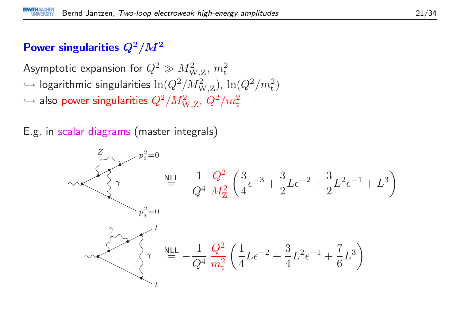### Power singularities  $Q^2/M^2$

Asymptotic expansion for  $Q^2 \gg M_{\mathrm{W},Z}^2,\,m_{\mathrm{t}}^2$  , with the simularities to  $Q^2/M^2$  $\hookrightarrow$  logarithmic singularities  $\ln(Q^2/M_{\mathrm{W,Z}}^2)$ ,  $\ln(Q^2/m_{\mathrm{t}}^2)$  $\hookrightarrow$  also power singularities  $Q^2/M_{\mathrm{W,Z}}^2$ ,  $Q^2/m_{\mathrm{t}}^2$ 

E.g. in scalar diagrams (master integrals)

![](_page_20_Figure_4.jpeg)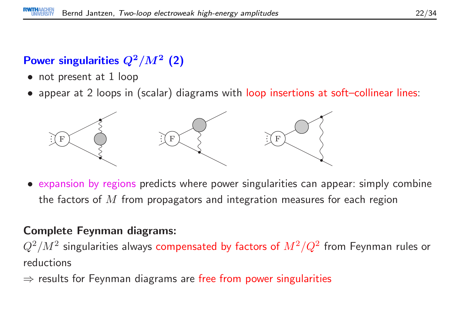## Power singularities  $Q^2/M^2$  (2)

- not present at 1 loop
- appear at <sup>2</sup> loops in (scalar) diagrams with loop insertions at soft–collinear lines:

![](_page_21_Figure_4.jpeg)

• expansion by regions predicts where power singularities can appear: simply combine the factors of  $M$  from propagators and integration measures for each region

#### Complete Feynman diagrams:

 $Q^2/M^2$  singularities always  $\bm{compensated}$  by factors of  $M^2/Q^2$  from Feynman rules or reductions

 $\Rightarrow$  results for Feynman diagrams are free from power singularities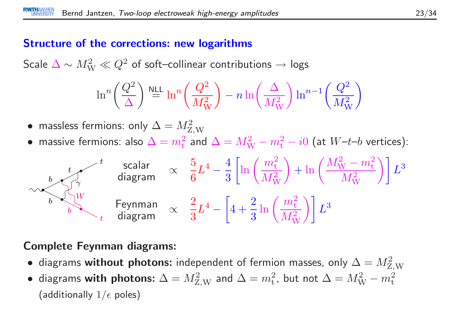#### Structure of the corrections: new logarithms

Scale  $\Delta \sim M_{\mathrm W}^2 \ll Q^2$  of soft–collinear contributions  $\rightarrow$  logs

$$
\ln^n \left(\frac{Q^2}{\Delta}\right) \stackrel{\text{NLL}}{=} \ln^n \left(\frac{Q^2}{M_\text{W}^2}\right) - n \ln \left(\frac{\Delta}{M_\text{W}^2}\right) \ln^{n-1} \left(\frac{Q^2}{M_\text{W}^2}\right)
$$

• massless fermions: only  $\Delta = M_{\rm Z,W}^2$ 

• massive fermions: also  $\Delta = m_{\rm t}^2$  and  $\Delta = M_{\rm W}^2 - m_{\rm t}^2 - i0$  (at  $W$ – $t$ – $b$  vertices):

![](_page_22_Figure_6.jpeg)

#### Complete Feynman diagrams:

- diagrams without photons: independent of fermion masses, only  $\Delta = M_{\rm Z,W}^2$
- diagrams with photons:  $\Delta = M_{\rm Z,W}^2$  and  $\Delta = m_{\rm t}^2$ , but not  $\Delta = M_{\rm W}^2 m_{\rm t}^2$ (additionally  $1/\epsilon$  poles)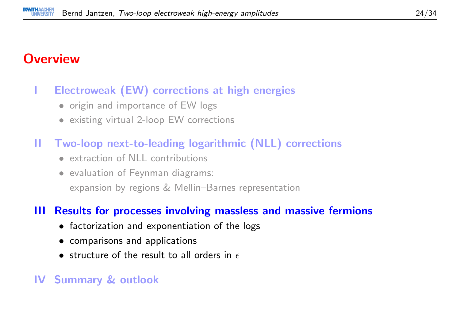## **Overview**

#### <sup>I</sup> Electroweak (EW) corrections at high energies

- origin and importance of EW logs
- existing virtual 2-loop EW corrections
- II Two-loop next-to-leading logarithmic (NLL) corrections
	- extraction of NLL contributions
	- evaluation of Feynman diagrams: expansion by regions & Mellin–Barnes representation

#### III Results for processes involving massless and massive fermions

- factorization and exponentiation of the logs
- comparisons and applications
- $\bullet\,$  structure of the result to all orders in  $\epsilon$

#### IV Summary & outlook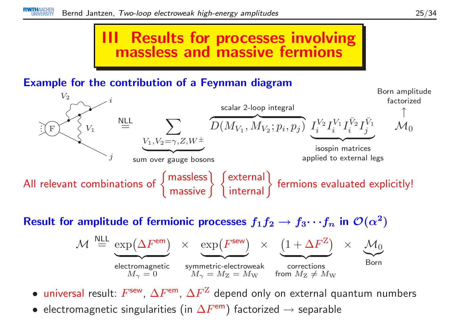## III Results for processes involvingmassless and massive fermions

#### Example for the contribution of <sup>a</sup> Feynman diagram

![](_page_24_Figure_3.jpeg)

Result for amplitude of fermionic processes  $f_1f_2 \to$  $f_3 \cdots f_n$  in  $\mathcal{O}(\alpha^2)$ 

$$
\mathcal{M} \stackrel{\text{NLL}}{=} \underbrace{\exp(\Delta F^{\text{em}})}_{M_{\gamma} = 0} \times \underbrace{\exp(F^{\text{sew}})}_{M_{\gamma} = M_{\text{Z}} = M_{\text{W}}} \times \underbrace{(1 + \Delta F^{\text{Z}})}_{\text{fornections}} \times \underbrace{\mathcal{M}_{0}}_{\text{Born}}
$$

- $\bullet$  universal result:  $F^{\sf sew},\, \Delta F^{\sf em},\, \Delta F^{\sf Z}$  depend only on external quantum numbers
- • $\bullet$  electromagnetic singularities (in  $\Delta F^{\mathsf{em}}$ ) factorized  $\rightarrow$  separable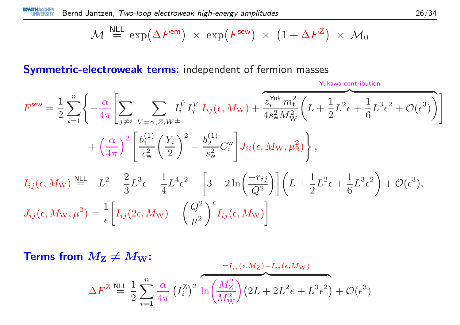$$
\mathcal{M} \stackrel{\text{NLL}}{=} \exp(\Delta F^{\text{em}}) \times \exp(F^{\text{sew}}) \times (1 + \Delta F^Z) \times \mathcal{M}_0
$$

Symmetric-electroweak terms: independent of fermion masses

Yukawa contribution

$$
F^{\text{sew}} = \frac{1}{2} \sum_{i=1}^{n} \left\{ -\frac{\alpha}{4\pi} \left[ \sum_{j \neq i} \sum_{V=\gamma, Z, W^{\pm}} I_{i}^{\bar{V}} I_{j}^{V} I_{ij}(\epsilon, M_{\text{W}}) + \frac{\sum_{i}^{N_{\text{uk}}} m_{\text{t}}^{2}}{4s_{\text{w}}^{2} M_{\text{W}}^{2}} \left( L + \frac{1}{2} L^{2} \epsilon + \frac{1}{6} L^{3} \epsilon^{2} + \mathcal{O}(\epsilon^{3}) \right) \right] + \left( \frac{\alpha}{4\pi} \right)^{2} \left[ \frac{b_{1}^{(1)}}{c_{\text{w}}^{2}} \left( \frac{Y_{i}}{2} \right)^{2} + \frac{b_{2}^{(1)}}{s_{\text{w}}^{2}} C_{i}^{\text{w}} \right] J_{ii}(\epsilon, M_{\text{W}}, \mu_{\text{R}}^{2}) \right\},
$$
  

$$
I_{ij}(\epsilon, M_{\text{W}}) \stackrel{\text{NLL}}{=} -L^{2} - \frac{2}{3} L^{3} \epsilon - \frac{1}{4} L^{4} \epsilon^{2} + \left[ 3 - 2 \ln \left( \frac{-r_{ij}}{Q^{2}} \right) \right] \left( L + \frac{1}{2} L^{2} \epsilon + \frac{1}{6} L^{3} \epsilon^{2} \right) + \mathcal{O}(\epsilon^{3}),
$$
  

$$
J_{ij}(\epsilon, M_{\text{W}}, \mu^{2}) = \frac{1}{\epsilon} \left[ I_{ij} (2\epsilon, M_{\text{W}}) - \left( \frac{Q^{2}}{\mu^{2}} \right)^{\epsilon} I_{ij}(\epsilon, M_{\text{W}}) \right]
$$

**Terms from** 
$$
M_{\mathbf{Z}} \neq M_{\mathbf{W}}
$$
:  
\n
$$
\Delta F^{\mathbf{Z}} \stackrel{\text{NLL}}{=} \frac{1}{2} \sum_{i=1}^{n} \frac{\alpha}{4\pi} \left(I_{i}^{\mathbf{Z}}\right)^{2} \ln \left(\frac{M_{\mathbf{Z}}^{2}}{M_{\mathbf{W}}^{2}}\right) \left(2L + 2L^{2}\epsilon + L^{3}\epsilon^{2}\right) + \mathcal{O}(\epsilon^{3})
$$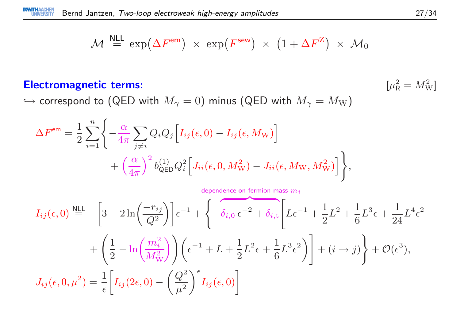$$
\mathcal{M} \stackrel{\text{NLL}}{=} \exp(\Delta F^{\text{em}}) \times \exp(F^{\text{sew}}) \times (1 + \Delta F^Z) \times \mathcal{M}_0
$$

#### Electromagnetic terms: [µ<sup>2</sup><sup>R</sup>

$$
\mu_{\mathsf{R}}^2 = M_{\mathsf{W}}^2
$$

 $\hookrightarrow$  correspond to (QED with  $M_\gamma=0)$  minus (QED with  $M_\gamma=M_{\mathrm W})$ 

$$
\Delta F^{\text{em}} = \frac{1}{2} \sum_{i=1}^{n} \left\{ -\frac{\alpha}{4\pi} \sum_{j \neq i} Q_i Q_j \left[ I_{ij}(\epsilon, 0) - I_{ij}(\epsilon, M_{\text{W}}) \right] + \left( \frac{\alpha}{4\pi} \right)^2 b_{\text{QED}}^{(1)} Q_i^2 \left[ J_{ii}(\epsilon, 0, M_{\text{W}}^2) - J_{ii}(\epsilon, M_{\text{W}}, M_{\text{W}}^2) \right] \right\},
$$

$$
I_{ij}(\epsilon,0) \stackrel{\text{NLL}}{=} -\left[3 - 2\ln\left(\frac{-r_{ij}}{Q^2}\right)\right] \epsilon^{-1} + \left\{-\delta_{i,0}\,\epsilon^{-2} + \delta_{i,\text{t}} \left[L\epsilon^{-1} + \frac{1}{2}L^2 + \frac{1}{6}L^3\epsilon + \frac{1}{24}L^4\epsilon^2 + \left(\frac{1}{2} - \ln\left(\frac{m_i^2}{M_W^2}\right)\right)\right)\left(\epsilon^{-1} + L + \frac{1}{2}L^2\epsilon + \frac{1}{6}L^3\epsilon^2\right)\right] + (i \to j)\right\} + \mathcal{O}(\epsilon^3),
$$
  

$$
J_{ij}(\epsilon,0,\mu^2) = \frac{1}{\epsilon} \left[I_{ij}(2\epsilon,0) - \left(\frac{Q^2}{\mu^2}\right)^\epsilon I_{ij}(\epsilon,0)\right]
$$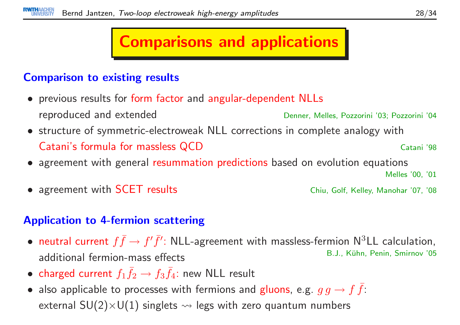## Comparisons and applications

#### Comparison to existing results

- previous results for form factor and angular-dependent NLLs reproduced and extendedDenner, Melles, Pozzorini '03; Pozzorini '04
- structure of symmetric-electroweak NLL corrections in complete analogy withCatani's formula for massless QCDCatani '98
- agreement with genera<sup>l</sup> resummation predictions based on evolution equations

Melles '00, '01

Chiu, Golf, Kelley, Manohar '07, '08

• agreement with

#### Application to 4-fermion scattering

- $\bullet$ • neutral current  $f \bar{f} \to f' \bar{f}'$ : NLL-agreement with massless-fermion N<sup>3</sup>LL calculation,<br>B.J., Kühn, Penin, Smirnov '05 additional fermion-mass effectsB.J., Kühn, Penin, Smirnov '05
- charged current  $f_1 \bar{f}_2 \rightarrow f_3 \bar{f}_4$ : new NLL result
- also applicable to processes with fermions and gluons, e.g.  $g g \to f \bar{f}$ : external  $SU(2)\times U(1)$  singlets  $\rightsquigarrow$  legs with zero quantum numbers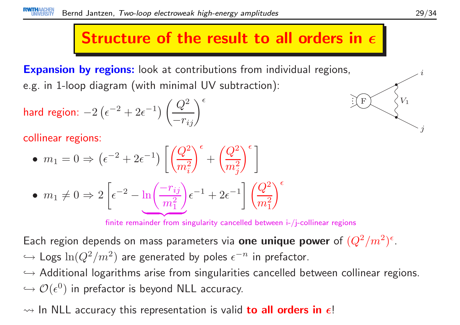# Structure of the result to all orders in  $\epsilon$

**Expansion by regions:** look at contributions from individual regions, e.g. in 1-loop diagram (with minimal UV subtraction):

$$
\textsf{hard region: } -2\left(\epsilon^{-2} + 2\epsilon^{-1}\right) \left(\frac{Q^2}{-r_{ij}}\right)^{\epsilon}
$$

collinear regions:

• 
$$
m_1 = 0 \Rightarrow (\epsilon^{-2} + 2\epsilon^{-1}) \left[ \left( \frac{Q^2}{m_i^2} \right)^{\epsilon} + \left( \frac{Q^2}{m_j^2} \right)^{\epsilon} \right]
$$
  
\n•  $m_1 \neq 0 \Rightarrow 2 \left[ \epsilon^{-2} - \ln \left( \frac{-r_{ij}}{m_1^2} \right) \epsilon^{-1} + 2\epsilon^{-1} \right] \left( \frac{Q^2}{m_1^2} \right)^{\epsilon}$ 

finite remainder from singularity cancelled between i-/j-collinear regions

Each region depends on mass parameters via  ${\bf one}$  unique  ${\bf power}$  of  $(Q^2/m^2)^{\epsilon}.$  $\hookrightarrow$  Logs  $\ln(Q^2/m^2)$  are generated by poles  $\epsilon^{-n}$  in prefactor.

֒→ Additional logarithms arise from singularities cancelled between collinear regions.  $\hookrightarrow \mathcal{O}(\epsilon^0)$  in prefactor is beyond NLL accuracy.

## $\rightsquigarrow$  In NLL accuracy this representation is valid  $\bf{to}$  all  $\bf{orders}$  in  $\bm{\epsilon}!$

 $\it i$ 

F

 $\mathbf{F} \setminus \mathcal{S}^{V_1}$ 

j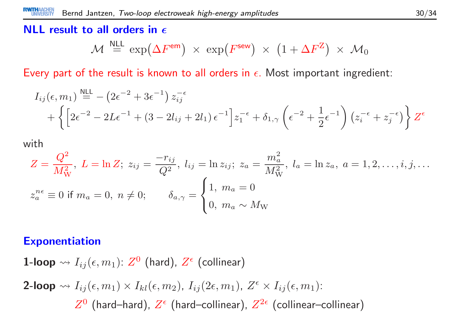## NLL result to all orders in  $\epsilon$

$$
\mathcal{M} \stackrel{\text{NLL}}{=} \exp(\Delta F^{\text{em}}) \times \exp(F^{\text{sew}}) \times (1 + \Delta F^{\mathbf{Z}}) \times \mathcal{M}_0
$$

Every part of the result is known to all orders in  $\epsilon.$  Most important ingredient:

$$
I_{ij}(\epsilon, m_1) \stackrel{\text{NLL}}{=} -\left(2\epsilon^{-2} + 3\epsilon^{-1}\right) z_{ij}^{-\epsilon} + \left\{\left[2\epsilon^{-2} - 2L\epsilon^{-1} + (3 - 2l_{ij} + 2l_1)\epsilon^{-1}\right] z_1^{-\epsilon} + \delta_{1,\gamma} \left(\epsilon^{-2} + \frac{1}{2}\epsilon^{-1}\right) \left(z_i^{-\epsilon} + z_j^{-\epsilon}\right)\right\} Z^{\epsilon}
$$

with

$$
Z = \frac{Q^2}{M_W^2}, \ L = \ln Z; \ z_{ij} = \frac{-r_{ij}}{Q^2}, \ l_{ij} = \ln z_{ij}; \ z_a = \frac{m_a^2}{M_W^2}, \ l_a = \ln z_a, \ a = 1, 2, \dots, i, j, \dots
$$

$$
z_a^{n\epsilon} \equiv 0 \text{ if } m_a = 0, \ n \neq 0; \qquad \delta_{a,\gamma} = \begin{cases} 1, \ m_a = 0 \\ 0, \ m_a \sim M_W \end{cases}
$$

#### Exponentiation

 ${\bf 1}\text{-loop} \leadsto I_{ij}(\epsilon, m_1) {\rm :} \; Z^{\mathbf{0}}$  (hard),  $Z^{\epsilon}$  (collinear) 2-loop  $\rightsquigarrow I_{ij} (\epsilon, m_1) \times I_{kl} (\epsilon, m_2)$ ,  $I_{ij} (2\epsilon, m_1)$ ,  $Z^\epsilon \times I_{ij} (\epsilon, m_1)$ :  $Z^0$  (hard–hard),  $Z^\epsilon$  (hard–collinear),  $Z^{2\epsilon}$  (collinear–collinear)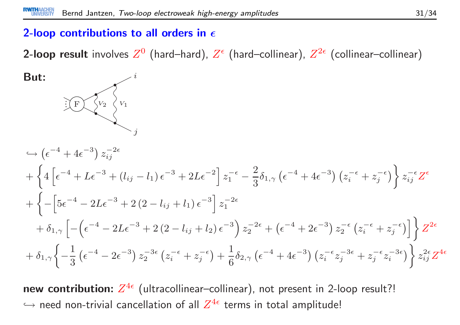## 2-loop contributions to all orders in  $\epsilon$

**2-loop result** involves  $Z^0$  (hard–hard),  $Z^\epsilon$  (hard–collinear),  $Z^{2\epsilon}$  (collinear–collinear)

But: <sup>i</sup> jF $V_2$  $\hookrightarrow$  $\hookrightarrow$   $\left(\epsilon^{-4} + 4\epsilon^{-3}\right) z_{ij}^{-2\epsilon}$  $\, + \,$  $+\left\{4\left[\epsilon^{-4}+L\epsilon^{-3}+\left(l_{ij}-l_1\right)\epsilon^{-3}+2L\epsilon^{-2}\right]z_1^{-\epsilon}-\frac{2}{3}\delta_{1,\gamma}\left(\epsilon^{-4}+4\epsilon^{-3}\right)\left(z_i^{-\epsilon}+z_j^{-\epsilon}\right)\right\}z_{ij}^{-\epsilon}Z^{\epsilon}$  $\, + \,$  $+\left\{-\left[5\epsilon^{-4} - 2L\epsilon^{-3} + 2(2 - l_{ij} + l_1)\epsilon^{-3}\right]z_1^{-2\epsilon}\right.$  $\, + \,$  $+\delta_{1,\gamma}\left[-\left(\epsilon^{-4} - 2L\epsilon^{-3} + 2\left(2 - l_{ij} + l_2\right)\epsilon^{-3}\right)z_2^{-2\epsilon} + \left(\epsilon^{-4} + 2\epsilon^{-3}\right)z_2^{-\epsilon}\left(z_i^{-\epsilon} + z_j^{-\epsilon}\right)\right]\right\}Z^{2\epsilon}$  $\, + \,$  $+\delta_{1,\gamma}\left\{-\frac{1}{3}\left(\epsilon^{-4} - 2\epsilon^{-3}\right)z_2^{-3\epsilon}\left(z_i^{-\epsilon} + z_j^{-\epsilon}\right) + \frac{1}{6}\delta_{2,\gamma}\left(\epsilon^{-4} + 4\epsilon^{-3}\right)\left(z_i^{-\epsilon}z_j^{-3\epsilon} + z_j^{-\epsilon}z_i^{-3\epsilon}\right)\right\}z_{ij}^{2\epsilon}Z^{4\epsilon}$ 

new contribution:  $Z^{4\epsilon}$  (ultracollinear–collinear), not present in 2-loop result?!  $\hookrightarrow$  need non-trivial cancellation of all  $Z^{4\epsilon}$  terms in total amplitude!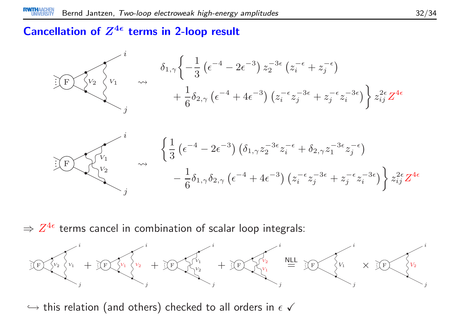#### Cancellation of  $Z^{4\epsilon}$  terms in 2-loop result

![](_page_31_Figure_2.jpeg)

 $\Rightarrow Z^{4\epsilon}$  terms cancel in combination of scalar loop integrals:

![](_page_31_Figure_4.jpeg)

 $\hookrightarrow$  this relation (and others) checked to all orders in  $\epsilon$   $\checkmark$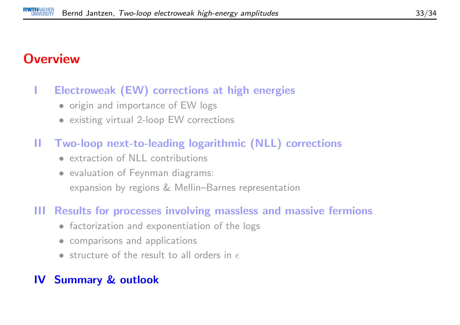## **Overview**

#### <sup>I</sup> Electroweak (EW) corrections at high energies

- origin and importance of EW logs
- existing virtual 2-loop EW corrections
- II Two-loop next-to-leading logarithmic (NLL) corrections
	- extraction of NLL contributions
	- evaluation of Feynman diagrams: expansion by regions & Mellin–Barnes representation

#### III Results for processes involving massless and massive fermions

- factorization and exponentiation of the logs
- comparisons and applications
- structure of the result to all orders in  $\epsilon$

#### IV Summary & outlook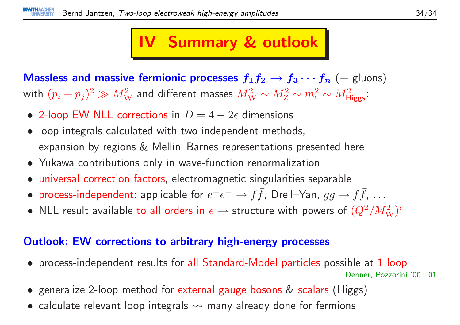## IV Summary & outlook

**Massless and massive fermionic processes**  $f_1f_2 \rightarrow f_3 \cdots f_n$  (+ gluons)<br>with  $(n+1)^2 \gg M^2$  and different masses  $M^2$  at  $M^2$  at  $M^2$ with  $(p_i+p_j)^2\gg M_{\mathrm{W}}^2$  and different masses  $M_{\mathrm{W}}^2\sim M_{\mathrm{Z}}^2\sim m_{\mathrm{t}}^2\sim M_{\mathrm{Higgs}}^2$ :

- 2-loop EW NLL corrections in  $D=4-2\epsilon$  dimensions
- loop integrals calculated with two independent methods, expansion by regions & Mellin–Barnes representations presented here
- Yukawa contributions only in wave-function renormalization
- $\bullet$ universal correction factors, electromagnetic singularities separable
- •• process-independent: applicable for  $e^+e^- \to f\bar{f}$ , Drell–Yan,  $gg \to f\bar{f}$ , ...
- $\bullet$  $\bullet\,$  NLL result available to all orders in  $\epsilon\to$  $\rightarrow$  structure with powers of  $(Q^2/M_{\mathrm{W}}^2)^\epsilon$

#### Outlook: EW corrections to arbitrary high-energy processes

- process-independent results for all Standard-Model particles possible at <sup>1</sup> loopDenner, Pozzorini '00, '01
- generalize 2-loop method for external gauge bosons & scalars (Higgs)
- $\bullet\,$  calculate relevant loop integrals  $\leadsto$  many already done for fermions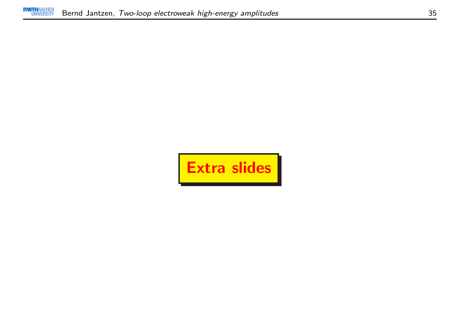![](_page_34_Picture_2.jpeg)